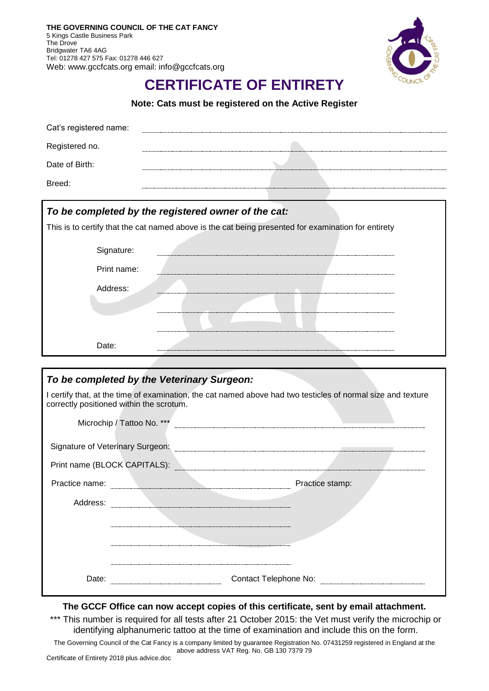

## **CERTIFICATE OF ENTIRETY**

**Note: Cats must be registered on the Active Register**

| To be completed by the registered owner of the cat: |  |  |  |  |
|-----------------------------------------------------|--|--|--|--|
| Breed:                                              |  |  |  |  |
| Date of Birth:                                      |  |  |  |  |
| Registered no.                                      |  |  |  |  |
| Cat's registered name:                              |  |  |  |  |

| This is to certify that the cat named above is the cat being presented for examination for entirety |  |  |  |  |
|-----------------------------------------------------------------------------------------------------|--|--|--|--|
|                                                                                                     |  |  |  |  |
|                                                                                                     |  |  |  |  |
|                                                                                                     |  |  |  |  |

| Signature:  |  |
|-------------|--|
|             |  |
| Print name: |  |
| Address:    |  |
|             |  |
|             |  |
|             |  |
|             |  |
| Date:       |  |
|             |  |

|                                                                                                                                                          | To be completed by the Veterinary Surgeon: |                 |  |  |  |  |
|----------------------------------------------------------------------------------------------------------------------------------------------------------|--------------------------------------------|-----------------|--|--|--|--|
| I certify that, at the time of examination, the cat named above had two testicles of normal size and texture<br>correctly positioned within the scrotum. |                                            |                 |  |  |  |  |
|                                                                                                                                                          | Microchip / Tattoo No. ***                 |                 |  |  |  |  |
| Signature of Veterinary Surgeon:                                                                                                                         |                                            |                 |  |  |  |  |
| Print name (BLOCK CAPITALS):                                                                                                                             |                                            |                 |  |  |  |  |
| Practice name:                                                                                                                                           |                                            | Practice stamp: |  |  |  |  |
| Address:                                                                                                                                                 |                                            |                 |  |  |  |  |
|                                                                                                                                                          |                                            |                 |  |  |  |  |
|                                                                                                                                                          |                                            |                 |  |  |  |  |
|                                                                                                                                                          |                                            |                 |  |  |  |  |
| Date:                                                                                                                                                    | Contact Telephone No:                      |                 |  |  |  |  |

## **The GCCF Office can now accept copies of this certificate, sent by email attachment.**

\*\*\* This number is required for all tests after 21 October 2015: the Vet must verify the microchip or identifying alphanumeric tattoo at the time of examination and include this on the form.

The Governing Council of the Cat Fancy is a company limited by guarantee Registration No. 07431259 registered in England at the above address VAT Reg. No. GB 130 7379 79